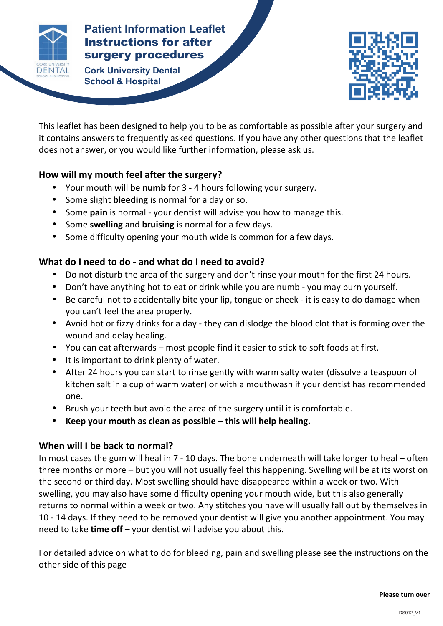

# **Patients Patients Patient Information Leaflet** Instructions for after

**AFTER Cork University Dental School & Hospital**



This leaflet has been designed to help you to be as comfortable as possible after your surgery and it contains answers to frequently asked questions. If you have any other questions that the leaflet does not answer, or you would like further information, please ask us.

**INSTRUCTION** 

## How will my mouth feel after the surgery?

- Your mouth will be numb for 3 4 hours following your surgery.
- Some slight **bleeding** is normal for a day or so.
- Some **pain** is normal your dentist will advise you how to manage this.
- Some swelling and bruising is normal for a few days.
- Some difficulty opening your mouth wide is common for a few days.

## What do I need to do - and what do I need to avoid?

- Do not disturb the area of the surgery and don't rinse your mouth for the first 24 hours.
- Don't have anything hot to eat or drink while you are numb you may burn yourself.
- Be careful not to accidentally bite your lip, tongue or cheek it is easy to do damage when you can't feel the area properly.
- Avoid hot or fizzy drinks for a day they can dislodge the blood clot that is forming over the wound and delay healing.
- You can eat afterwards most people find it easier to stick to soft foods at first.
- It is important to drink plenty of water.
- After 24 hours you can start to rinse gently with warm salty water (dissolve a teaspoon of kitchen salt in a cup of warm water) or with a mouthwash if your dentist has recommended one.
- Brush your teeth but avoid the area of the surgery until it is comfortable.
- Keep your mouth as clean as possible this will help healing.

## **When will I be back to normal?**

In most cases the gum will heal in  $7 - 10$  days. The bone underneath will take longer to heal  $-$  often three months or more  $-$  but you will not usually feel this happening. Swelling will be at its worst on the second or third day. Most swelling should have disappeared within a week or two. With swelling, you may also have some difficulty opening your mouth wide, but this also generally returns to normal within a week or two. Any stitches you have will usually fall out by themselves in 10 - 14 days. If they need to be removed your dentist will give you another appointment. You may need to take **time off** – your dentist will advise you about this.

For detailed advice on what to do for bleeding, pain and swelling please see the instructions on the other side of this page